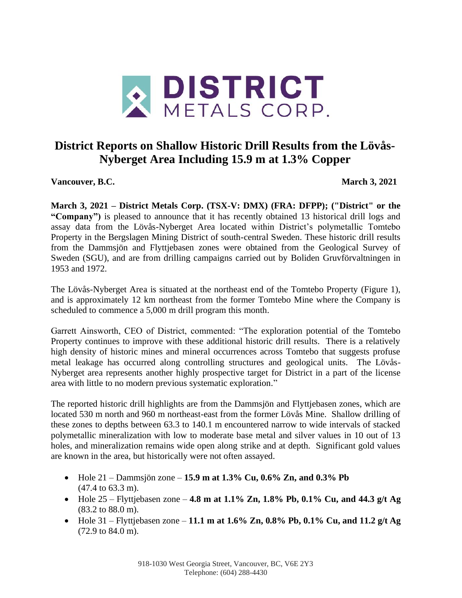

# **District Reports on Shallow Historic Drill Results from the Lövås-Nyberget Area Including 15.9 m at 1.3% Copper**

**Vancouver, B.C. March 3, 2021**

**March 3, 2021 – District Metals Corp. (TSX-V: DMX) (FRA: DFPP); ("District" or the "Company")** is pleased to announce that it has recently obtained 13 historical drill logs and assay data from the Lövås-Nyberget Area located within District's polymetallic Tomtebo Property in the Bergslagen Mining District of south-central Sweden. These historic drill results from the Dammsjön and Flyttjebasen zones were obtained from the Geological Survey of Sweden (SGU), and are from drilling campaigns carried out by Boliden Gruvförvaltningen in 1953 and 1972.

The Lövås-Nyberget Area is situated at the northeast end of the Tomtebo Property (Figure 1), and is approximately 12 km northeast from the former Tomtebo Mine where the Company is scheduled to commence a 5,000 m drill program this month.

Garrett Ainsworth, CEO of District, commented: "The exploration potential of the Tomtebo Property continues to improve with these additional historic drill results. There is a relatively high density of historic mines and mineral occurrences across Tomtebo that suggests profuse metal leakage has occurred along controlling structures and geological units. The Lövås-Nyberget area represents another highly prospective target for District in a part of the license area with little to no modern previous systematic exploration."

The reported historic drill highlights are from the Dammsjön and Flyttjebasen zones, which are located 530 m north and 960 m northeast-east from the former Lövås Mine. Shallow drilling of these zones to depths between 63.3 to 140.1 m encountered narrow to wide intervals of stacked polymetallic mineralization with low to moderate base metal and silver values in 10 out of 13 holes, and mineralization remains wide open along strike and at depth. Significant gold values are known in the area, but historically were not often assayed.

- Hole 21 Dammsjön zone **15.9 m at 1.3% Cu, 0.6% Zn, and 0.3% Pb** (47.4 to 63.3 m).
- Hole 25 Flyttjebasen zone **4.8 m at 1.1% Zn, 1.8% Pb, 0.1% Cu, and 44.3 g/t Ag**  (83.2 to 88.0 m).
- Hole 31 Flyttjebasen zone **11.1 m at 1.6% Zn, 0.8% Pb, 0.1% Cu, and 11.2 g/t Ag**  (72.9 to 84.0 m).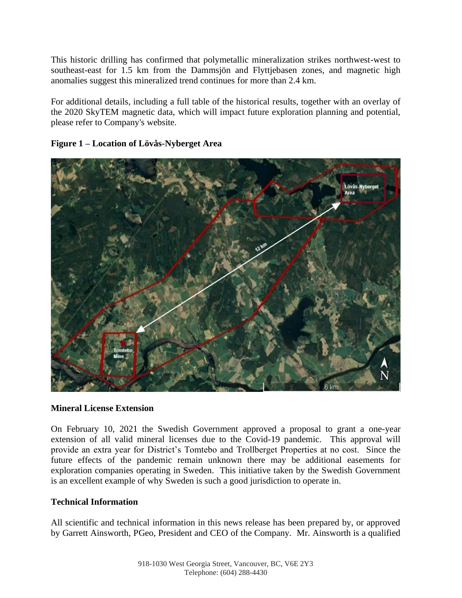This historic drilling has confirmed that polymetallic mineralization strikes northwest-west to southeast-east for 1.5 km from the Dammsjön and Flyttjebasen zones, and magnetic high anomalies suggest this mineralized trend continues for more than 2.4 km.

For additional details, including a full table of the historical results, together with an overlay of the 2020 SkyTEM magnetic data, which will impact future exploration planning and potential, please refer to Company's website.



## **Figure 1 – Location of Lövås-Nyberget Area**

#### **Mineral License Extension**

On February 10, 2021 the Swedish Government approved a proposal to grant a one-year extension of all valid mineral licenses due to the Covid-19 pandemic. This approval will provide an extra year for District's Tomtebo and Trollberget Properties at no cost. Since the future effects of the pandemic remain unknown there may be additional easements for exploration companies operating in Sweden. This initiative taken by the Swedish Government is an excellent example of why Sweden is such a good jurisdiction to operate in.

### **Technical Information**

All scientific and technical information in this news release has been prepared by, or approved by Garrett Ainsworth, PGeo, President and CEO of the Company. Mr. Ainsworth is a qualified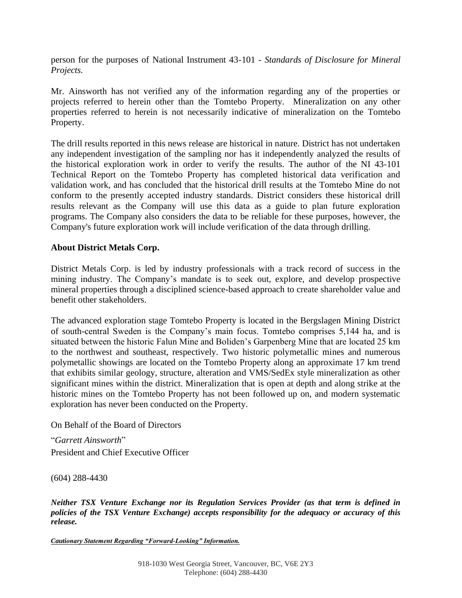person for the purposes of National Instrument 43-101 - *Standards of Disclosure for Mineral Projects.*

Mr. Ainsworth has not verified any of the information regarding any of the properties or projects referred to herein other than the Tomtebo Property. Mineralization on any other properties referred to herein is not necessarily indicative of mineralization on the Tomtebo Property.

The drill results reported in this news release are historical in nature. District has not undertaken any independent investigation of the sampling nor has it independently analyzed the results of the historical exploration work in order to verify the results. The author of the NI 43-101 Technical Report on the Tomtebo Property has completed historical data verification and validation work, and has concluded that the historical drill results at the Tomtebo Mine do not conform to the presently accepted industry standards. District considers these historical drill results relevant as the Company will use this data as a guide to plan future exploration programs. The Company also considers the data to be reliable for these purposes, however, the Company's future exploration work will include verification of the data through drilling.

#### **About District Metals Corp.**

District Metals Corp. is led by industry professionals with a track record of success in the mining industry. The Company's mandate is to seek out, explore, and develop prospective mineral properties through a disciplined science-based approach to create shareholder value and benefit other stakeholders.

The advanced exploration stage Tomtebo Property is located in the Bergslagen Mining District of south-central Sweden is the Company's main focus. Tomtebo comprises 5,144 ha, and is situated between the historic Falun Mine and Boliden's Garpenberg Mine that are located 25 km to the northwest and southeast, respectively. Two historic polymetallic mines and numerous polymetallic showings are located on the Tomtebo Property along an approximate 17 km trend that exhibits similar geology, structure, alteration and VMS/SedEx style mineralization as other significant mines within the district. Mineralization that is open at depth and along strike at the historic mines on the Tomtebo Property has not been followed up on, and modern systematic exploration has never been conducted on the Property.

On Behalf of the Board of Directors

"*Garrett Ainsworth*" President and Chief Executive Officer

(604) 288-4430

*Neither TSX Venture Exchange nor its Regulation Services Provider (as that term is defined in policies of the TSX Venture Exchange) accepts responsibility for the adequacy or accuracy of this release.*

*Cautionary Statement Regarding "Forward-Looking" Information.*